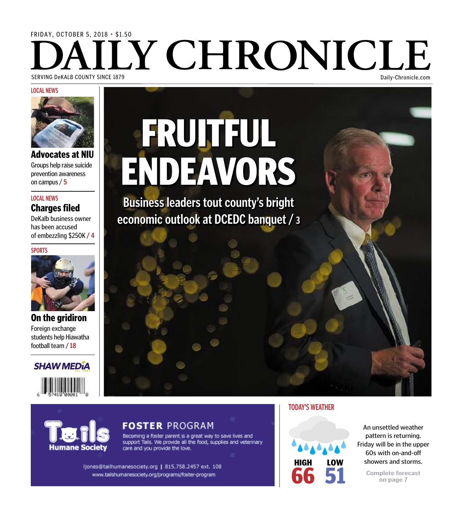### FridAy, OctOber 5, 2018 • \$1.50 **SERVING DEKALB COUNTY SINCE 1879** SerViNG deKALb cOUNty SiNce 1879 daily-chronicle.com

#### **LOCAL NEWS**



Advocates at NIU Groups help raise suicide prevention awareness on campus/ **5**

#### Charges filed **LOCAL NEWS**

DeKalb business owner has been accused of embezzling \$250K / **4**

**SPORTS**



On the gridiron Foreign exchange students help Hiawatha football team / **18**



lumane Society

# **FRUITFUL** ENDEAVORS

**Business leaders tout county's bright economic outlook at DCEDC banquet / <sup>3</sup>**

#### FOSTER PROGRAM

Becoming a foster parent is a great way to save lives and support Tails. We provide all the food, supplies and veterinary care and you provide the love.

ljones@tailhumanesociety.org | 815.758.2457 ext. 108 www.tailshumanesociety.org/programs/foster-program

#### **TODAY'S WEATHER**



An unsettled weather pattern is returning. Friday will be in the upper 60s with on-and-off showers and storms.

> **Complete forecast on page 7**